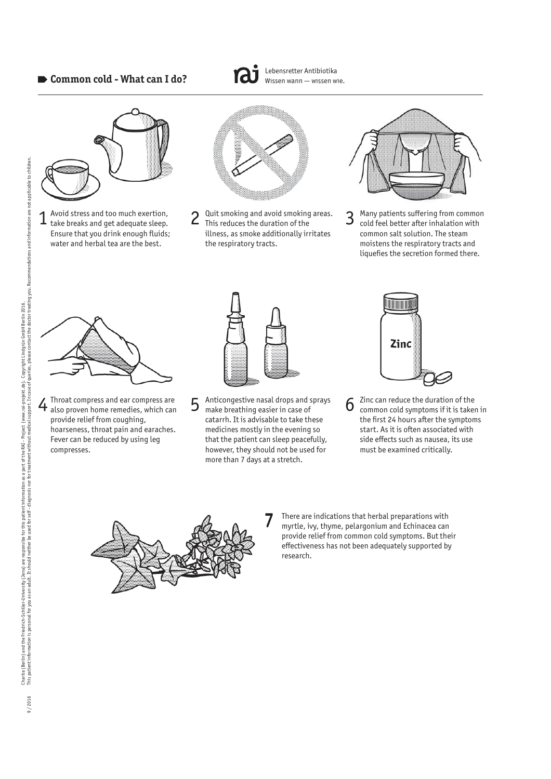# **Common cold - What can I do?**



Avoid stress and too much exertion, Ensure that you drink enough fluids; water and herbal tea are the best.



Lebensretter Antibiotika Wissen wann — wissen wie.

 $1$  Avoid stress and too much exertion,  $2^{·}$  Quit smoking and avoid smoking areas.  $3^{·}$  take breaks and get adequate sleep.  $1^{·}$  This reduces the duration of the Quit smoking and avoid smoking areas. This reduces the duration of the illness, as smoke additionally irritates the respiratory tracts.



Many patients suffering from common cold feel better after inhalation with common salt solution. The steam moistens the respiratory tracts and liquefies the secretion formed there.



Throat compress and ear compress are provide relief from coughing, hoarseness, throat pain and earaches. Fever can be reduced by using leg compresses.



 $4$  Throat compress and ear compress are  $5$  Anticongestive nasal drops and sprays  $6$ Anticongestive nasal drops and sprays make breathing easier in case of catarrh. It is advisable to take these medicines mostly in the evening so that the patient can sleep peacefully, however, they should not be used for more than 7 days at a stretch.



Zinc can reduce the duration of the common cold symptoms if it is taken in the first 24 hours after the symptoms start. As it is often associated with side effects such as nausea, its use must be examined critically.



There are indications that herbal preparations with myrtle, ivy, thyme, pelargonium and Echinacea can provide relief from common cold symptoms. But their effectiveness has not been adequately supported by research.